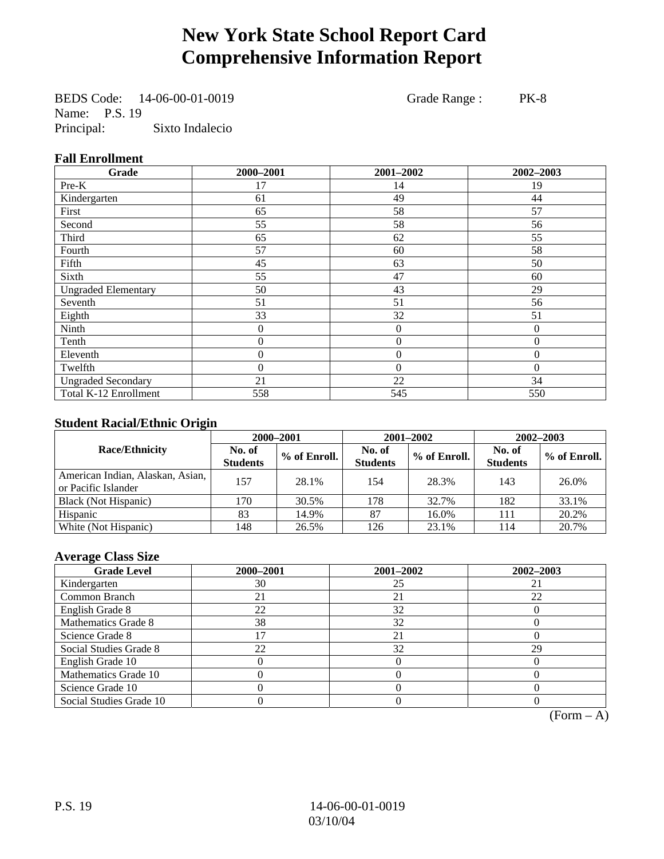# **New York State School Report Card Comprehensive Information Report**

BEDS Code: 14-06-00-01-0019 Grade Range : PK-8 Name: P.S. 19 Principal: Sixto Indalecio

#### **Fall Enrollment**

| Grade                      | 2000-2001      | 2001-2002        | 2002-2003    |
|----------------------------|----------------|------------------|--------------|
| Pre-K                      | 17             | 14               | 19           |
| Kindergarten               | 61             | 49               | 44           |
| First                      | 65             | 58               | 57           |
| Second                     | 55             | 58               | 56           |
| Third                      | 65             | 62               | 55           |
| Fourth                     | 57             | 60               | 58           |
| Fifth                      | 45             | 63               | 50           |
| Sixth                      | 55             | 47               | 60           |
| <b>Ungraded Elementary</b> | 50             | 43               | 29           |
| Seventh                    | 51             | 51               | 56           |
| Eighth                     | 33             | 32               | 51           |
| Ninth                      | 0              | $\boldsymbol{0}$ | $\mathbf{0}$ |
| Tenth                      | 0              | $\boldsymbol{0}$ | $\theta$     |
| Eleventh                   | $\overline{0}$ | $\boldsymbol{0}$ | $\theta$     |
| Twelfth                    | $\overline{0}$ | $\boldsymbol{0}$ | $\Omega$     |
| <b>Ungraded Secondary</b>  | 21             | 22               | 34           |
| Total K-12 Enrollment      | 558            | 545              | 550          |

#### **Student Racial/Ethnic Origin**

|                                                         | 2000-2001                 |              |                           | 2001-2002    | 2002-2003                 |                |
|---------------------------------------------------------|---------------------------|--------------|---------------------------|--------------|---------------------------|----------------|
| <b>Race/Ethnicity</b>                                   | No. of<br><b>Students</b> | % of Enroll. | No. of<br><b>Students</b> | % of Enroll. | No. of<br><b>Students</b> | $%$ of Enroll. |
| American Indian, Alaskan, Asian,<br>or Pacific Islander | 157                       | 28.1%        | 154                       | 28.3%        | 143                       | 26.0%          |
| Black (Not Hispanic)                                    | 170                       | 30.5%        | 178                       | 32.7%        | 182                       | 33.1%          |
| Hispanic                                                | 83                        | 14.9%        | 87                        | 16.0%        | 111                       | 20.2%          |
| White (Not Hispanic)                                    | 148                       | 26.5%        | 126                       | 23.1%        | 114                       | 20.7%          |

#### **Average Class Size**

| <b>Grade Level</b>      | 2000-2001 | 2001-2002 | 2002-2003 |
|-------------------------|-----------|-----------|-----------|
| Kindergarten            | 30        | 25        |           |
| Common Branch           | 21        | 21        | 22        |
| English Grade 8         | 22        | 32        |           |
| Mathematics Grade 8     | 38        | 32        |           |
| Science Grade 8         |           | 21        |           |
| Social Studies Grade 8  | 22        | 32        | 29        |
| English Grade 10        |           | O         |           |
| Mathematics Grade 10    |           |           |           |
| Science Grade 10        |           |           |           |
| Social Studies Grade 10 |           |           |           |

 $(Form – A)$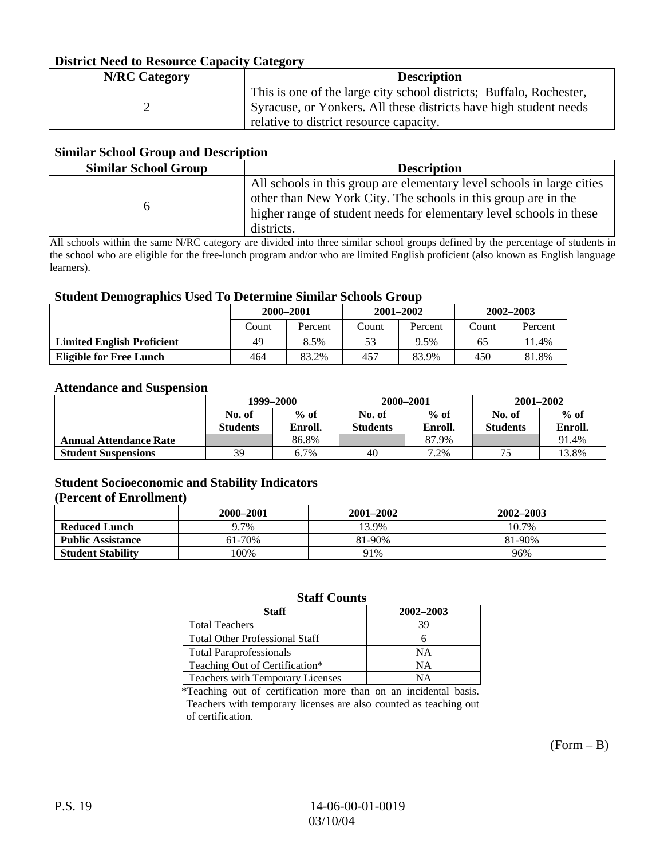#### **District Need to Resource Capacity Category**

| <b>N/RC</b> Category | <b>Description</b>                                                                                                                                                                  |
|----------------------|-------------------------------------------------------------------------------------------------------------------------------------------------------------------------------------|
|                      | This is one of the large city school districts; Buffalo, Rochester,<br>Syracuse, or Yonkers. All these districts have high student needs<br>relative to district resource capacity. |

#### **Similar School Group and Description**

| <b>Similar School Group</b> | <b>Description</b>                                                                                                                                                                                                            |
|-----------------------------|-------------------------------------------------------------------------------------------------------------------------------------------------------------------------------------------------------------------------------|
|                             | All schools in this group are elementary level schools in large cities<br>other than New York City. The schools in this group are in the<br>higher range of student needs for elementary level schools in these<br>districts. |

All schools within the same N/RC category are divided into three similar school groups defined by the percentage of students in the school who are eligible for the free-lunch program and/or who are limited English proficient (also known as English language learners).

#### **Student Demographics Used To Determine Similar Schools Group**

| o                                 | 2000-2001 |         | $2001 - 2002$ |         | 2002–2003 |         |
|-----------------------------------|-----------|---------|---------------|---------|-----------|---------|
|                                   | Count     | Percent | Count         | Percent | Count     | Percent |
| <b>Limited English Proficient</b> | 49        | 8.5%    | 53            | 9.5%    | 65        | $1.4\%$ |
| <b>Eligible for Free Lunch</b>    | 464       | 83.2%   | 457           | 83.9%   | 450       | 81.8%   |

#### **Attendance and Suspension**

|                               | 1999-2000                 |                   |                           | 2000-2001         | $2001 - 2002$             |                   |
|-------------------------------|---------------------------|-------------------|---------------------------|-------------------|---------------------------|-------------------|
|                               | No. of<br><b>Students</b> | $%$ of<br>Enroll. | No. of<br><b>Students</b> | $%$ of<br>Enroll. | No. of<br><b>Students</b> | $%$ of<br>Enroll. |
| <b>Annual Attendance Rate</b> |                           | 86.8%             |                           | 87.9%             |                           | 91.4%             |
| <b>Student Suspensions</b>    | 39                        | 6.7%              | 40                        | 7.2%              |                           | 13.8%             |

#### **Student Socioeconomic and Stability Indicators**

#### **(Percent of Enrollment)**

|                          | 2000-2001 | 2001-2002 | 2002-2003 |
|--------------------------|-----------|-----------|-----------|
| <b>Reduced Lunch</b>     | 9.7%      | 13.9%     | 10.7%     |
| <b>Public Assistance</b> | 61-70%    | 81-90%    | 81-90%    |
| <b>Student Stability</b> | $00\%$    | 91%       | 96%       |

#### **Staff Counts**

| <b>Staff</b>                          | 2002-2003 |
|---------------------------------------|-----------|
| <b>Total Teachers</b>                 | 39        |
| <b>Total Other Professional Staff</b> |           |
| <b>Total Paraprofessionals</b>        | NΑ        |
| Teaching Out of Certification*        | NΑ        |
| Teachers with Temporary Licenses      | NΑ        |

\*Teaching out of certification more than on an incidental basis. Teachers with temporary licenses are also counted as teaching out of certification.

 $(Form - B)$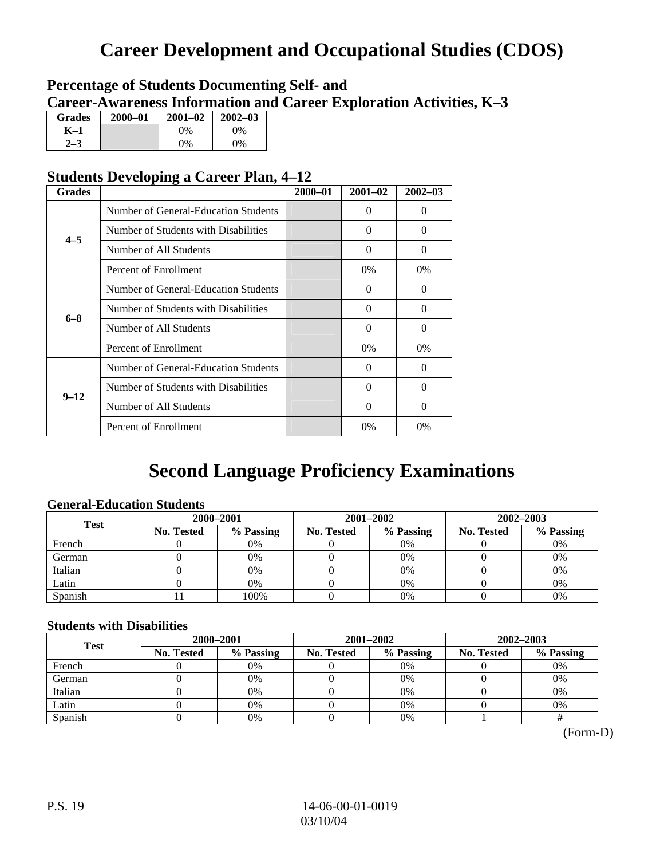# **Career Development and Occupational Studies (CDOS)**

### **Percentage of Students Documenting Self- and Career-Awareness Information and Career Exploration Activities, K–3**

| <b>Grades</b> | $2000 - 01$ | $2001 - 02$ | $2002 - 03$ |
|---------------|-------------|-------------|-------------|
| K-1           |             | 0%          | $0\%$       |
| 72            |             | $0\%$       | $0\%$       |

### **Students Developing a Career Plan, 4–12**

| <b>Grades</b> |                                      | $2000 - 01$ | $2001 - 02$ | $2002 - 03$ |
|---------------|--------------------------------------|-------------|-------------|-------------|
|               | Number of General-Education Students |             | $\Omega$    | $\theta$    |
| $4 - 5$       | Number of Students with Disabilities |             | $\Omega$    | 0           |
|               | Number of All Students               |             | 0           | 0           |
|               | Percent of Enrollment                |             | 0%          | 0%          |
|               | Number of General-Education Students |             | $\Omega$    | 0           |
| $6 - 8$       | Number of Students with Disabilities |             | $\Omega$    | $\Omega$    |
|               | Number of All Students               |             | $\Omega$    | $\Omega$    |
|               | Percent of Enrollment                |             | $0\%$       | $0\%$       |
|               | Number of General-Education Students |             | $\Omega$    | 0           |
|               | Number of Students with Disabilities |             | 0           | 0           |
| $9 - 12$      | Number of All Students               |             | $\Omega$    | $\theta$    |
|               | Percent of Enrollment                |             | 0%          | $0\%$       |

# **Second Language Proficiency Examinations**

#### **General-Education Students**

| <b>Test</b> | 2000-2001         |           |                   | 2001-2002 | 2002-2003  |           |
|-------------|-------------------|-----------|-------------------|-----------|------------|-----------|
|             | <b>No. Tested</b> | % Passing | <b>No. Tested</b> | % Passing | No. Tested | % Passing |
| French      |                   | 0%        |                   | $0\%$     |            | 0%        |
| German      |                   | 0%        |                   | $0\%$     |            | 0%        |
| Italian     |                   | 0%        |                   | 0%        |            | 0%        |
| Latin       |                   | 0%        |                   | 0%        |            | 0%        |
| Spanish     |                   | 100%      |                   | 0%        |            | 0%        |

#### **Students with Disabilities**

| <b>Test</b> | 2000-2001         |           |            | 2001-2002 | $2002 - 2003$     |           |  |
|-------------|-------------------|-----------|------------|-----------|-------------------|-----------|--|
|             | <b>No. Tested</b> | % Passing | No. Tested | % Passing | <b>No. Tested</b> | % Passing |  |
| French      |                   | 0%        |            | 0%        |                   | 0%        |  |
| German      |                   | 0%        |            | 0%        |                   | 0%        |  |
| Italian     |                   | 0%        |            | 0%        |                   | 0%        |  |
| Latin       |                   | 0%        |            | $0\%$     |                   | 0%        |  |
| Spanish     |                   | 0%        |            | 0%        |                   |           |  |

 <sup>(</sup>Form-D)